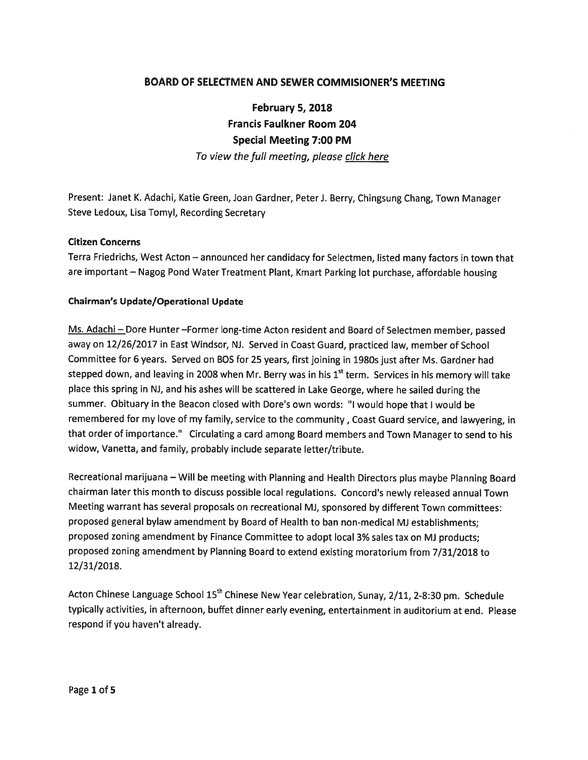# BOARD OF SELECTMEN AND SEWER COMMISIONER'S MEETING

February 5, 2018 Francis Faulkner Room 204 Special Meeting 7:00 PM To view the full meeting, please click here

Present: Janet K. Adachi, Katie Green, Joan Gardner, Peteri. Berry, Chingsung Chang, Town Manager Steve Ledoux, Lisa Tomyl, Recording Secretary

#### Citizen Concerns

Terra Friedrichs, West Acton — announced her candidacy for Selectmen, listed many factors in town that are important — Nagog Pond Water Treatment Plant, Kmart Parking lot purchase, affordable housing

#### Chairman's Update/Operational Update

Ms. Adachi — Dote Hunter —Former long-time Acton resident and Board of Selectmen member, passe<sup>d</sup> away on 12/26/2017 in East Windsor, NJ. Served in Coast Guard, practiced law, member of School Committee for 6 years. Served on BOS for 25 years, first joining in 1980s just after Ms. Gardner had stepped down, and leaving in 2008 when Mr. Berry was in his  $1<sup>st</sup>$  term. Services in his memory will take <sup>p</sup>lace this spring in NJ, and his ashes will be scattered in Lake George, where he sailed during the summer. Obituary in the Beacon closed with Dore's own words: "I would hope that I would be remembered for my love of my family, service to the community, Coast Guard service, and lawyering, in that order of importance." Circulating <sup>a</sup> card among Board members and Town Manager to send to his widow, Vanetta, and family, probably include separate letter/tribute.

Recreational marijuana — Will be meeting with Planning and Health Directors <sup>p</sup>lus maybe Planning Board chairman later this month to discuss possible local regulations. Concord's newly released annual Town Meeting warrant has several proposals on recreational MJ, sponsore<sup>d</sup> by different Town committees: proposed genera<sup>l</sup> bylaw amendment by Board of Health to ban non-medical MJ establishments; propose<sup>d</sup> zoning amendment by Finance Committee to adopt local 3% sales tax on MJ products; propose<sup>d</sup> zoning amendment by Planning Board to extend existing moratorium from 7/31/2018 to 12/31/2018.

Acton Chinese Language School 15<sup>th</sup> Chinese New Year celebration, Sunay, 2/11, 2-8:30 pm. Schedule typically activities, in afternoon, buffet dinner early evening, entertainment in auditorium at end. Please respond if you haven't already.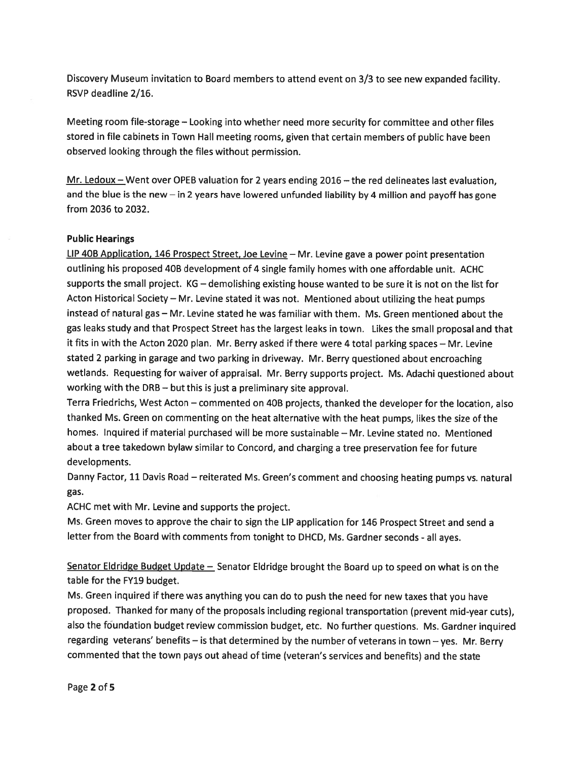Discovery Museum invitation to Board members to attend event on 3/3 to see new expanded facility. RSVP deadline 2/16.

Meeting room file-storage — Looking into whether need more security for committee and other files stored in file cabinets in Town Hall meeting rooms, given that certain members of public have been observed looking through the files without permission.

Mr. Ledoux  $-$  Went over OPEB valuation for 2 years ending 2016  $-$  the red delineates last evaluation, and the blue is the new — in <sup>2</sup> years have lowered unfunded liability by <sup>4</sup> million and payoff has gone from 2036 to 2032.

#### Public Hearings

LIP 40B Application, <sup>146</sup> Prospect Street, Joe Levine — Mr. Levine gave <sup>a</sup> power point presentation outlining his proposed 40B development of <sup>4</sup> single family homes with one affordable unit. ACHC supports the small project. KG — demolishing existing house wanted to be sure it is not on the list for Acton Historical Society — Mr. Levine stated it was not. Mentioned about utilizing the heat pumps instead of natural gas — Mr. Levine stated he was familiar with them. Ms. Green mentioned about the gas leaks study and that Prospect Street has the largest leaks in town. Likes the small proposa<sup>l</sup> and that it fits in with the Acton <sup>2020</sup> <sup>p</sup>lan. Mr. Berry asked if there were <sup>4</sup> total parking spaces — Mr. Levine stated <sup>2</sup> parking in garage and two parking in driveway. Mr. Berry questioned about encroaching wetlands. Requesting for waiver of appraisal. Mr. Berry supports project. Ms. Adachi questioned about working with the DRB — but this is just <sup>a</sup> preliminary site approval.

Terra Friedrichs, West Acton — commented on 40B projects, thanked the developer for the location, also thanked Ms. Green on commenting on the heat alternative with the heat pumps, likes the size of the homes. Inquired if material purchased will be more sustainable — Mr. Levine stated no. Mentioned about <sup>a</sup> tree takedown bylaw similar to Concord, and charging <sup>a</sup> tree preservation fee for future developments.

Danny Factor, <sup>11</sup> Davis Road — reiterated Ms. Green's comment and choosing heating pumps vs. natural gas.

ACHC met with Mr. Levine and supports the project.

Ms. Green moves to approve the chair to sign the LIP application for <sup>146</sup> Prospect Street and send <sup>a</sup> letter from the Board with comments from tonight to DHCD, Ms. Gardner seconds - all ayes.

Senator Eldridge Budget Update  $-$  Senator Eldridge brought the Board up to speed on what is on the table for the FY19 budget.

Ms. Green inquired if there was anything you can do to pus<sup>h</sup> the need for new taxes that you have proposed. Thanked for many of the proposals including regional transportation (prevent mid-year cuts), also the foundation budget review commission budget, etc. No further questions. Ms. Gardner inquired regarding veterans' benefits — is that determined by the number of veterans in town — yes. Mr. Berry commented that the town pays out ahead of time (veteran's services and benefits) and the state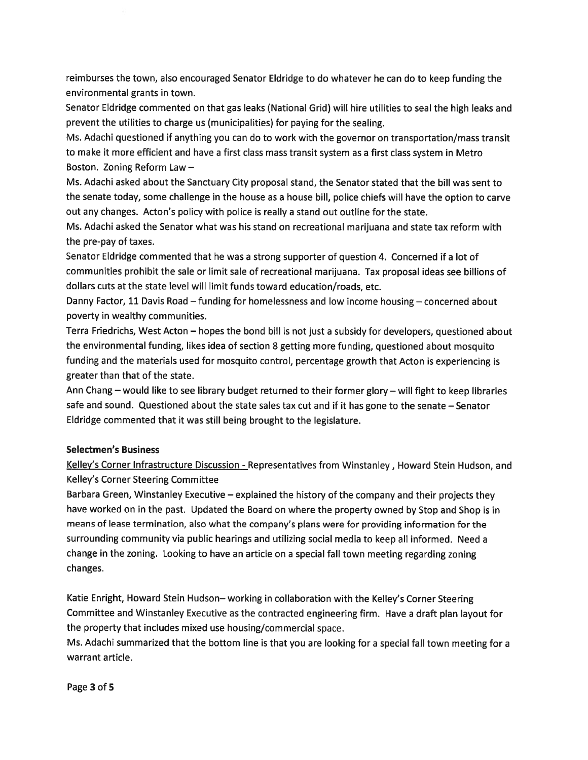reimburses the town, also encouraged Senator Eldridge to do whatever he can do to keep funding the environmental grants in town.

Senator Eldridge commented on that gas leaks (National Grid) will hire utilities to seal the high leaks and preven<sup>t</sup> the utilities to charge us (municipalities) for paying for the sealing.

Ms. Adachi questioned if anything you can do to work with the governor on transportation/mass transit to make it more efficient and have <sup>a</sup> first class mass transit system as <sup>a</sup> first class system in Metro Boston. Zoning Reform Law —

Ms. Adachi asked about the Sanctuary City proposal stand, the Senator stated that the bill was sent to the senate today, some challenge in the house as <sup>a</sup> house bill, police chiefs will have the option to carve out any changes. Acton's policy with police is really <sup>a</sup> stand out outline for the state.

Ms. Adachi asked the Senator what was his stand on recreational marijuana and state tax reform with the pre-pay of taxes.

Senator Eldridge commented that he was <sup>a</sup> strong supporter of question 4. Concerned if <sup>a</sup> lot of communities prohibit the sale or limit sale of recreational marijuana. Tax proposal ideas see billions of dollars cuts at the state level will limit funds toward education/roads, etc.

Danny Factor, <sup>11</sup> Davis Road — funding for homelessness and low income housing — concerned about poverty in wealthy communities.

Terra Friedrichs, West Acton — hopes the bond bill is not just <sup>a</sup> subsidy for developers, questioned about the environmental funding, likes idea of section <sup>8</sup> getting more funding, questioned about mosquito funding and the materials used for mosquito control, percentage growth that Acton is experiencing is greater than that of the state.

Ann Chang — would like to see library budget returned to their former <sup>g</sup>lory — will fight to keep libraries safe and sound. Questioned about the state sales tax cut and if it has gone to the senate — Senator Eldridge commented that it was still being brought to the legislature.

## Selectmen's Business

Kelley's Corner Infrastructure Discussion - Representatives from Winstanley, Howard Stein Hudson, and Kelley's Corner Steering Committee

Barbara Green, Winstanley Executive — explained the history of the company and their projects they have worked on in the past. Updated the Board on where the property owned by Stop and Shop is in means of lease termination, also what the company's <sup>p</sup>lans were for providing information for the surrounding community via public hearings and utilizing social media to keep all informed. Need <sup>a</sup> change in the zoning. Looking to have an article on <sup>a</sup> special fall town meeting regarding zoning changes.

Katie Enright, Howard Stein Hudson— working in collaboration with the Kelley's Corner Steering Committee and Winstanley Executive as the contracted engineering firm. Have <sup>a</sup> draft <sup>p</sup>lan layout for the property that includes mixed use housing/commercial space.

Ms. Adachi summarized that the bottom line is that you are looking for <sup>a</sup> special fall town meeting for <sup>a</sup> warrant article.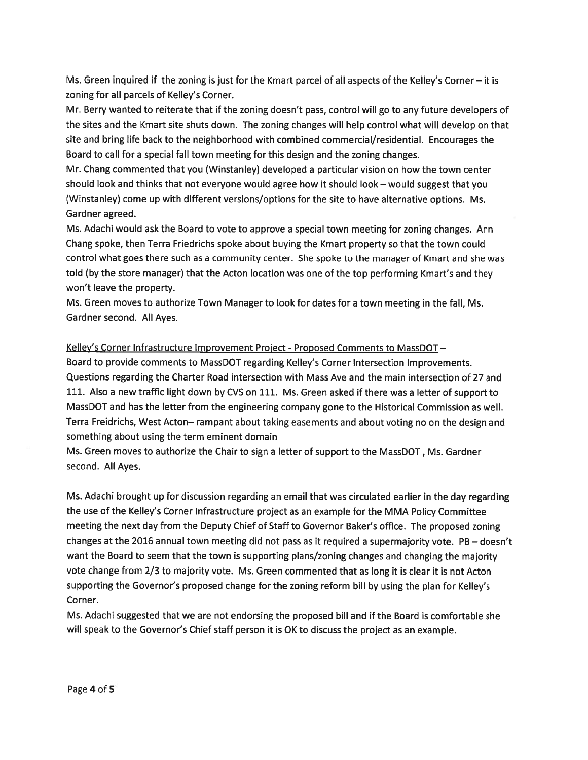Ms. Green inquired if the zoning is just for the Kmart parcel of all aspects of the Kelley's Corner — it is zoning for all parcels of Kelley's Corner.

Mr. Berry wanted to reiterate that if the zoning doesn't pass, control will go to any future developers of the sites and the Kmart site shuts down. The zoning changes will help control what will develop on that site and bring life back to the neighborhood with combined commercial/residential. Encourages the Board to call for <sup>a</sup> special fall town meeting for this design and the zoning changes.

Mr. Chang commented that you (Winstanley) developed <sup>a</sup> particular vision on how the town center should look and thinks that not everyone would agree how it should look — would sugges<sup>t</sup> that you (Winstanley) come up with different versions/options for the site to have alternative options. Ms. Gardner agreed.

Ms. Adachi would ask the Board to vote to approve <sup>a</sup> special town meeting for zoning changes. Ann Chang spoke, then Terra Friedrichs spoke about buying the Kmart property so that the town could control what goes there such as <sup>a</sup> community center. She spoke to the manager of Kmart and she was told (by the store manager) that the Acton location was one of the top performing Kmart's and they won't leave the property.

Ms. Green moves to authorize Town Manager to look for dates for <sup>a</sup> town meeting in the fall, Ms. Gardner second. All Ayes.

## Kelley's Corner Infrastructure Improvement Project - Proposed Comments to MassDOT -

Board to provide comments to MassDOT regarding Kelley's Corner Intersection Improvements. Questions regarding the Charter Road intersection with Mass Ave and the main intersection of 27 and 111. Also <sup>a</sup> new traffic light down by CVS on 111. Ms. Green asked if there was <sup>a</sup> letter of suppor<sup>t</sup> to MassDOT and has the letter from the engineering company gone to the Historical Commission as well. Terra Fteidrichs, West Acton— rampan<sup>t</sup> about taking easements and about voting no on the design and something about using the term eminent domain

Ms. Green moves to authorize the Chair to sign <sup>a</sup> letter of suppor<sup>t</sup> to the MassDOT, Ms. Gardner second. All Ayes.

Ms. Adachi brought up for discussion regarding an email that was circulated earlier in the day regarding the use of the Kelley's Corner Infrastructure project as an example for the MMA Policy Committee meeting the next day from the Deputy Chief of Staff to Governor Baker's office. The proposed zoning changes at the <sup>2016</sup> annual town meeting did not pass as it required <sup>a</sup> supermajority vote. PB — doesn't want the Board to seem that the town is supporting <sup>p</sup>lans/zoning changes and changing the majority vote change from 2/3 to majority vote. Ms. Green commented that as long it is clear it is not Acton supporting the Governor's propose<sup>d</sup> change for the zoning reform bill by using the <sup>p</sup>lan for Kelley's Corner.

Ms. Adachi suggested that we are not endorsing the proposed bill and if the Board is comfortable she will spea<sup>k</sup> to the Governor's Chief staff person it is OK to discuss the project as an example.